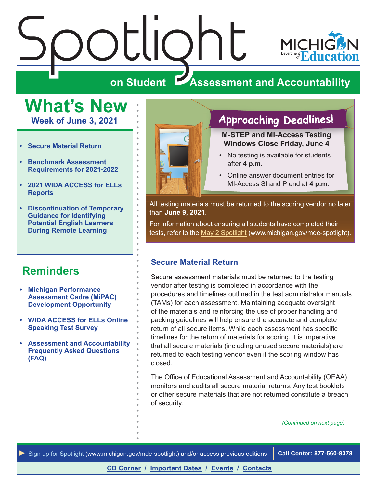# <span id="page-0-0"></span> $\frac{\sum_{\mathbf{S}}\left|\bigcup_{\mathbf{S}}\right|}{\sum_{\mathbf{S}}\left|\bigcup_{\mathbf{S}}\right|}$

 $\ddot{\phantom{a}}$ 



### **ZAssessment and Accountability**

**What's New Week of June 3, 2021**

- **• Secure Material Return**
- **• [Benchmark Assessment](#page-1-0)  [Requirements for 2021-2022](#page-1-0)**
- **• [2021 WIDA ACCESS for ELLs](#page-2-0)  [Reports](#page-2-0)**
- **• [Discontinuation of Temporary](#page-2-0)  [Guidance for Identifying](#page-2-0)  [Potential English Learners](#page-2-0)  [During Remote Learning](#page-2-0)**

### **[Reminders](#page-3-0)**

- **• [Michigan Performance](#page-3-1)  [Assessment Cadre \(MiPAC\)](#page-3-1)  [Development Opportunity](#page-3-1)**
- **• [WIDA ACCESS for ELLs Online](#page-3-1)  [Speaking Test Survey](#page-3-1)**
- **• [Assessment and Accountability](#page-3-1)  [Frequently Asked Questions](#page-3-1)  [\(FAQ\)](#page-3-1)**



### **Approaching Deadlines!**

**M-STEP and MI-Access Testing Windows Close Friday, June 4**

- No testing is available for students after **4 p.m.**
- Online answer document entries for MI-Access SI and P end at **4 p.m.**

All testing materials must be returned to the scoring vendor no later than **June 9, 2021**.

For information about ensuring all students have completed their tests, refer to the [May 2 Spotlight](https://www.michigan.gov/documents/mde/Spotlight_5-2-19_654086_7.pdf) (www.michigan.gov/mde-spotlight).

### **Secure Material Return**

Secure assessment materials must be returned to the testing vendor after testing is completed in accordance with the procedures and timelines outlined in the test administrator manuals (TAMs) for each assessment. Maintaining adequate oversight of the materials and reinforcing the use of proper handling and packing guidelines will help ensure the accurate and complete return of all secure items. While each assessment has specific timelines for the return of materials for scoring, it is imperative that all secure materials (including unused secure materials) are returned to each testing vendor even if the scoring window has closed.

The Office of Educational Assessment and Accountability (OEAA) monitors and audits all secure material returns. Any test booklets or other secure materials that are not returned constitute a breach of security.

*(Continued on next page)*

*►* [Sign up for Spotlight](https://public.govdelivery.com/accounts/MIMDE/subscriber/new) [\(www.michigan.gov/mde](www.michigan.gov/mde-spotlight)-spotlight) and/or access previous editions **Call Center: 877-560-8378**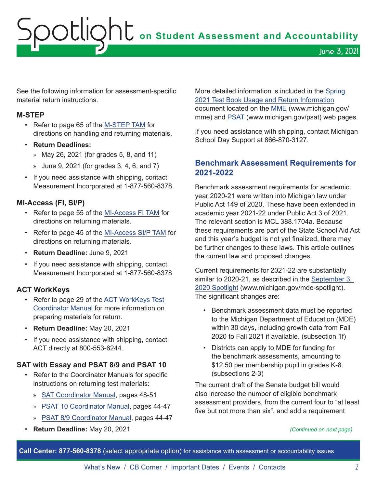# <span id="page-1-0"></span>Spotlight **on Student Assessment and Accountability** June 3, 2021

See the following information for assessment-specific material return instructions.

### **M-STEP**

- Refer to page 65 of the [M-STEP TAM](https://www.michigan.gov/documents/mde/M-STEP_Test_Administration_Manual_630729_7.pdf) for directions on handling and returning materials.
- **Return Deadlines:**
	- » May 26, 2021 (for grades 5, 8, and 11)
	- » June 9, 2021 (for grades 3, 4, 6, and 7)
- If you need assistance with shipping, contact Measurement Incorporated at 1-877-560-8378.

### **MI-Access (FI, SI/P)**

- Refer to page 55 of the [MI-Access FI TAM](https://www.michigan.gov/documents/mde/MI-ACCESS_Functional_Independence_TAM_635412_7.pdf) for directions on returning materials.
- Refer to page 45 of the [MI-Access SI/P TAM](https://www.michigan.gov/documents/mde/Participation_and_Supported_Independence_TAM_635414_7.pdf) for directions on returning materials.
- **Return Deadline:** June 9, 2021
- If you need assistance with shipping, contact Measurement Incorporated at 1-877-560-8378

### **ACT WorkKeys**

- Refer to page 29 of the [ACT WorkKeys Test](https://www.act.org/content/dam/act/secured/documents/pdfs/state-district-test-coordinator-paper-test.pdf)  [Coordinator Manual](https://www.act.org/content/dam/act/secured/documents/pdfs/state-district-test-coordinator-paper-test.pdf) for more information on preparing materials for return.
- **Return Deadline:** May 20, 2021
- If you need assistance with shipping, contact ACT directly at 800-553-6244.

### **SAT with Essay and PSAT 8/9 and PSAT 10**

- Refer to the Coordinator Manuals for specific instructions on returning test materials:
	- » [SAT Coordinator Manual,](https://www.michigan.gov/documents/mde/MI_SAT_Coordinator_Manual_678521_7.pdf) pages 48-51
	- » [PSAT 10 Coordinator Manual](https://www.michigan.gov/documents/mde/PSAT_10_Coordinator_Manual_680455_7.pdf), pages 44-47
	- » [PSAT 8/9 Coordinator Manual](https://www.michigan.gov/documents/mde/PSAT_89_Coordinator_Manual_680457_7.pdf), pages 44-47
- **Return Deadline:** May 20, 2021

More detailed information is included in the [Spring](https://www.michigan.gov/documents/mde/Test_Book_Usage_V2_719205_7.pdf)  [2021 Test Book Usage and Return Information](https://www.michigan.gov/documents/mde/Test_Book_Usage_V2_719205_7.pdf) document located on the [MME](www.michigan.gov/mme) (www.michigan.gov/ mme) and [PSAT](http://www.michigan.gov/psat) (www.michigan.gov/psat) web pages.

If you need assistance with shipping, contact Michigan School Day Support at 866-870-3127.

### **Benchmark Assessment Requirements for 2021-2022**

Benchmark assessment requirements for academic year 2020-21 were written into Michigan law under Public Act 149 of 2020. These have been extended in academic year 2021-22 under Public Act 3 of 2021. The relevant section is MCL 388.1704a. Because these requirements are part of the State School Aid Act and this year's budget is not yet finalized, there may be further changes to these laws. This article outlines the current law and proposed changes.

Current requirements for 2021-22 are substantially similar to 2020-21, as described in the [September 3,](https://www.michigan.gov/documents/mde/Spotlight_9-3-20_701391_7.pdf)  [2020 Spotlight](https://www.michigan.gov/documents/mde/Spotlight_9-3-20_701391_7.pdf) (www.michigan.gov/mde-spotlight). The significant changes are:

- Benchmark assessment data must be reported to the Michigan Department of Education (MDE) within 30 days, including growth data from Fall 2020 to Fall 2021 if available. (subsection 1f)
- Districts can apply to MDE for funding for the benchmark assessments, amounting to \$12.50 per membership pupil in grades K-8. (subsections 2-3)

The current draft of the Senate budget bill would also increase the number of eligible benchmark assessment providers, from the current four to "at least five but not more than six", and add a requirement

*(Continued on next page)*

**Call Center: 877-560-8378** (select appropriate option) for assistance with assessment or accountability issues

[What's New](#page-0-0) / [CB Corner](#page-4-0) / [Important Dates](#page-5-0) / [Events](#page-6-0) / [Contacts](#page-7-0) 2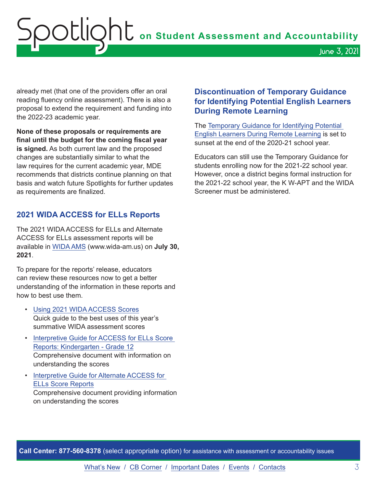# <span id="page-2-0"></span>OOCLIQht on Student Assessment and Accountability June 3, 2021

already met (that one of the providers offer an oral reading fluency online assessment). There is also a proposal to extend the requirement and funding into the 2022-23 academic year.

**None of these proposals or requirements are final until the budget for the coming fiscal year is signed.** As both current law and the proposed changes are substantially similar to what the law requires for the current academic year, MDE recommends that districts continue planning on that basis and watch future Spotlights for further updates as requirements are finalized.

### **2021 WIDA ACCESS for ELLs Reports**

The 2021 WIDA ACCESS for ELLs and Alternate ACCESS for ELLs assessment reports will be available in [WIDA AMS](http://www.wida-ams.us) (www.wida-am.us) on **July 30, 2021**.

To prepare for the reports' release, educators can review these resources now to get a better understanding of the information in these reports and how to best use them.

- [Using 2021 WIDA ACCESS Scores](https://www.michigan.gov/documents/mde/Using_2021_WIDA_ACCESS_Scores_726504_7.pdf) Quick guide to the best uses of this year's summative WIDA assessment scores
- [Interpretive Guide for ACCESS for ELLs Score](https://wida.wisc.edu/resources/access-ells-interpretive-guide-score-reports)  [Reports: Kindergarten - Grade 12](https://wida.wisc.edu/resources/access-ells-interpretive-guide-score-reports) Comprehensive document with information on understanding the scores
- [Interpretive Guide for Alternate ACCESS for](https://wida.wisc.edu/resources/alternate-access-ells-interpretive-guide-score-reports)  [ELLs Score Reports](https://wida.wisc.edu/resources/alternate-access-ells-interpretive-guide-score-reports) Comprehensive document providing information on understanding the scores

### **Discontinuation of Temporary Guidance for Identifying Potential English Learners During Remote Learning**

The [Temporary Guidance for Identifying Potential](http://www.michigan.gov/documents/mde/Identifying_ELL_699655_7.docx)  [English Learners During Remote Learning](http://www.michigan.gov/documents/mde/Identifying_ELL_699655_7.docx) is set to sunset at the end of the 2020-21 school year.

Educators can still use the Temporary Guidance for students enrolling now for the 2021-22 school year. However, once a district begins formal instruction for the 2021-22 school year, the K W-APT and the WIDA Screener must be administered.

**Call Center: 877-560-8378** (select appropriate option) for assistance with assessment or accountability issues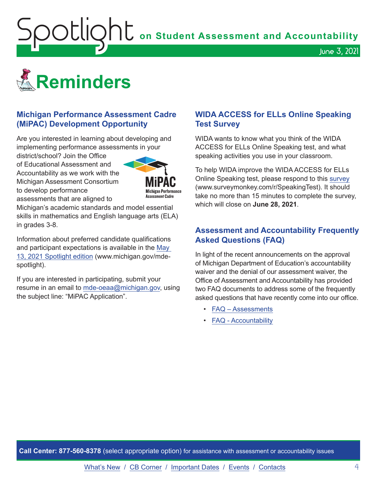<span id="page-3-1"></span>**Spotlight** on Student Assessment and Accountability

<span id="page-3-0"></span>

### **Michigan Performance Assessment Cadre (MiPAC) Development Opportunity**

Are you interested in learning about developing and implementing performance assessments in your

district/school? Join the Office of Educational Assessment and Accountability as we work with the Michigan Assessment Consortium to develop performance assessments that are aligned to



Michigan's academic standards and model essential skills in mathematics and English language arts (ELA) in grades 3-8.

Information about preferred candidate qualifications and participant expectations is available in the [May](https://www.michigan.gov/documents/mde/Spotlight_5-13-21_725244_7.pdf)  [13, 2021 Spotlight](https://www.michigan.gov/documents/mde/Spotlight_5-13-21_725244_7.pdf) edition (www.michigan.gov/mdespotlight).

If you are interested in participating, submit your resume in an email to [mde-oeaa@michigan.gov,](mailto:mde-oeaa%40michigan.gov?subject=MiPAC%20Application) using the subject line: "MiPAC Application".

### **WIDA ACCESS for ELLs Online Speaking Test Survey**

June 3, 2021

WIDA wants to know what you think of the WIDA ACCESS for ELLs Online Speaking test, and what speaking activities you use in your classroom.

To help WIDA improve the WIDA ACCESS for ELLs Online Speaking test, please respond to this [survey](https://www.surveymonkey.com/r/SpeakingTest) (www.surveymonkey.com/r/SpeakingTest). It should take no more than 15 minutes to complete the survey, which will close on **June 28, 2021**.

### **Assessment and Accountability Frequently Asked Questions (FAQ)**

In light of the recent announcements on the approval of Michigan Department of Education's accountability waiver and the denial of our assessment waiver, the Office of Assessment and Accountability has provided two FAQ documents to address some of the frequently asked questions that have recently come into our office.

- [FAQ Assessments](https://www.michigan.gov/documents/mde/Spring_2021_Summative_Assessments_FAQ_721789_7.pdf)
- [FAQ Accountability](https://www.michigan.gov/documents/mde/Michigan_School_Accountability_Planning_and_Response_to_COVID-19_701197_7.pdf)

**Call Center: 877-560-8378** (select appropriate option) for assistance with assessment or accountability issues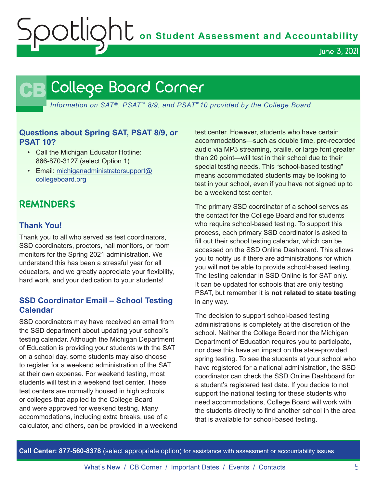**Soutlight** on Student Assessment and Accountability

June 3, 2021

### **CB** College Board Corner

<span id="page-4-0"></span>*Information on SAT*®*, PSAT*™ *8/9, and PSAT*™*10 provided by the College Board*

### **Questions about Spring SAT, PSAT 8/9, or PSAT 10?**

- Call the Michigan Educator Hotline: 866-870-3127 (select Option 1)
- Email: [michiganadministratorsupport@](mailto:michiganadministratorsupport%40collegeboard.org?subject=) [collegeboard.org](mailto:michiganadministratorsupport%40collegeboard.org?subject=)

### **REMINDERS**

### **Thank You!**

Thank you to all who served as test coordinators, SSD coordinators, proctors, hall monitors, or room monitors for the Spring 2021 administration. We understand this has been a stressful year for all educators, and we greatly appreciate your flexibility, hard work, and your dedication to your students!

### **SSD Coordinator Email – School Testing Calendar**

SSD coordinators may have received an email from the SSD department about updating your school's testing calendar. Although the Michigan Department of Education is providing your students with the SAT on a school day, some students may also choose to register for a weekend administration of the SAT at their own expense. For weekend testing, most students will test in a weekend test center. These test centers are normally housed in high schools or colleges that applied to the College Board and were approved for weekend testing. Many accommodations, including extra breaks, use of a calculator, and others, can be provided in a weekend test center. However, students who have certain accommodations—such as double time, pre-recorded audio via MP3 streaming, braille, or large font greater than 20 point—will test in their school due to their special testing needs. This "school-based testing" means accommodated students may be looking to test in your school, even if you have not signed up to be a weekend test center.

The primary SSD coordinator of a school serves as the contact for the College Board and for students who require school-based testing. To support this process, each primary SSD coordinator is asked to fill out their school testing calendar, which can be accessed on the SSD Online Dashboard. This allows you to notify us if there are administrations for which you will **not** be able to provide school-based testing. The testing calendar in SSD Online is for SAT only. It can be updated for schools that are only testing PSAT, but remember it is **not related to state testing** in any way.

The decision to support school-based testing administrations is completely at the discretion of the school. Neither the College Board nor the Michigan Department of Education requires you to participate, nor does this have an impact on the state-provided spring testing. To see the students at your school who have registered for a national administration, the SSD coordinator can check the SSD Online Dashboard for a student's registered test date. If you decide to not support the national testing for these students who need accommodations, College Board will work with the students directly to find another school in the area that is available for school-based testing.

**Call Center: 877-560-8378** (select appropriate option) for assistance with assessment or accountability issues

[What's New](#page-0-0) / [CB Corner](#page-4-0) / [Important Dates](#page-5-0) / [Events](#page-6-0) / [Contacts](#page-7-0) 5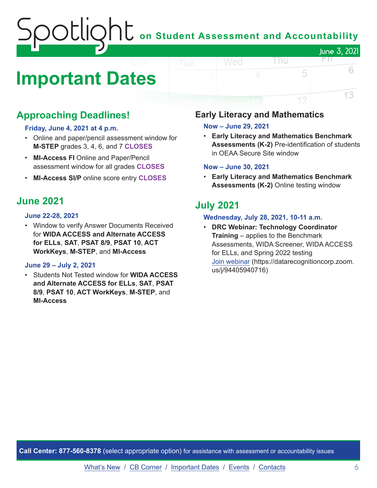### on Student Assessment and Accountability June 3, 2021 FIL.

# <span id="page-5-0"></span>**Important Dates**

### **Approaching Deadlines!**

### **Friday, June 4, 2021 at 4 p.m.**

- Online and paper/pencil assessment window for **M-STEP** grades 3, 4, 6, and 7 **CLOSES**
- **MI-Access FI** Online and Paper/Pencil assessment window for all grades **CLOSES**
- **MI-Access SI/P** online score entry **CLOSES**

### **June 2021**

#### **June 22-28, 2021**

• Window to verify Answer Documents Received for **WIDA ACCESS and Alternate ACCESS for ELLs**, **SAT**, **PSAT 8/9**, **PSAT 10**, **ACT WorkKeys**, **M-STEP**, and **MI-Access**

### **June 29 – July 2, 2021**

• Students Not Tested window for **WIDA ACCESS and Alternate ACCESS for ELLs**, **SAT**, **PSAT 8/9**, **PSAT 10**, **ACT WorkKeys**, **M-STEP**, and **MI-Access**

### **Early Literacy and Mathematics**

### **Now – June 29, 2021**

Wed

• **Early Literacy and Mathematics Benchmark Assessments (K-2)** Pre-identification of students in OEAA Secure Site window

l nu

5

12

6

13

#### **Now – June 30, 2021**

• **Early Literacy and Mathematics Benchmark Assessments (K-2)** Online testing window

### **July 2021**

### **Wednesday, July 28, 2021, 10-11 a.m.**

• **DRC Webinar: Technology Coordinator Training** – applies to the Benchmark Assessments, WIDA Screener, WIDA ACCESS for ELLs, and Spring 2022 testing [Join webinar](https://datarecognitioncorp.zoom.us/j/94405940716) (https://datarecognitioncorp.zoom. us/j/94405940716)

**Call Center: 877-560-8378** (select appropriate option) for assistance with assessment or accountability issues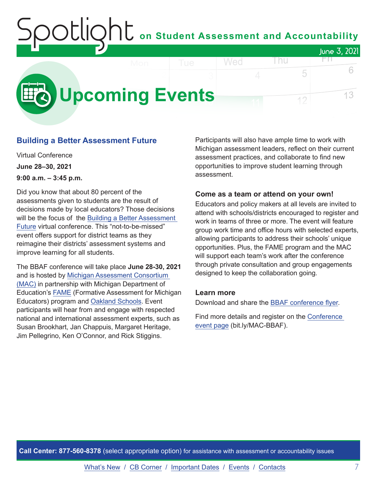### on Student Assessment and Accountability June 3, 2021 FIL.

<span id="page-6-0"></span>

### **Building a Better Assessment Future**

Virtual Conference **June 28–30, 2021 9:00 a.m. – 3:45 p.m.**

Did you know that about 80 percent of the assessments given to students are the result of decisions made by local educators? Those decisions will be the focus of the [Building a Better Assessment](https://www.michiganassessmentconsortium.org/event/building-a-better-assessment-future/)  [Future](https://www.michiganassessmentconsortium.org/event/building-a-better-assessment-future/) virtual conference. This "not-to-be-missed" event offers support for district teams as they reimagine their districts' assessment systems and improve learning for all students.

The BBAF conference will take place **June 28-30, 2021** and is hosted by [Michigan Assessment Consortium](http://www.michiganassessmentconsortium.org/)  [\(MAC\)](http://www.michiganassessmentconsortium.org/) in partnership with Michigan Department of Education's [FAME](http://www.famemichigan.org/) (Formative Assessment for Michigan Educators) program and [Oakland Schools.](https://www.oakland.k12.mi.us/) Event participants will hear from and engage with respected national and international assessment experts, such as Susan Brookhart, Jan Chappuis, Margaret Heritage, Jim Pellegrino, Ken O'Connor, and Rick Stiggins.

Participants will also have ample time to work with Michigan assessment leaders, reflect on their current assessment practices, and collaborate to find new opportunities to improve student learning through assessment.

5

12

#### **Come as a team or attend on your own!**

Educators and policy makers at all levels are invited to attend with schools/districts encouraged to register and work in teams of three or more. The event will feature group work time and office hours with selected experts, allowing participants to address their schools' unique opportunities. Plus, the FAME program and the MAC will support each team's work after the conference through private consultation and group engagements designed to keep the collaboration going.

### **Learn more**

Download and share the [BBAF conference flyer.](https://www.michiganassessmentconsortium.org/wp-content/uploads/BBAF-Flyer-1.pdf)

Find more details and register on the [Conference](https://www.michiganassessmentconsortium.org/event/building-a-better-assessment-future/)  [event page](https://www.michiganassessmentconsortium.org/event/building-a-better-assessment-future/) (bit.ly/MAC-BBAF).

**Call Center: 877-560-8378** (select appropriate option) for assistance with assessment or accountability issues

6

13